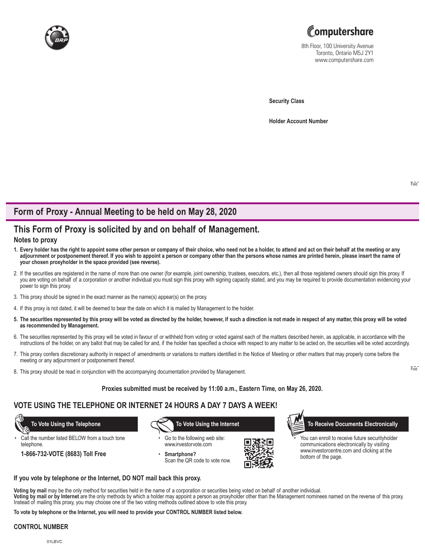



8th Floor, 100 University Avenue Toronto, Ontario M5J 2Y1 www.computershare.com

**Security Class**

**Holder Account Number** 

# **Form of Proxy - Annual Meeting to be held on May 28, 2020**

# **This Form of Proxy is solicited by and on behalf of Management.**

### **Notes to proxy**

- **1. Every holder has the right to appoint some other person or company of their choice, who need not be a holder, to attend and act on their behalf at the meeting or any adjournment or postponement thereof. If you wish to appoint a person or company other than the persons whose names are printed herein, please insert the name of your chosen proxyholder in the space provided (see reverse).**
- 2. If the securities are registered in the name of more than one owner (for example, joint ownership, trustees, executors, etc.), then all those registered owners should sign this proxy. If you are voting on behalf of a corporation or another individual you must sign this proxy with signing capacity stated, and you may be required to provide documentation evidencing your power to sign this proxy.
- 3. This proxy should be signed in the exact manner as the name(s) appear(s) on the proxy.
- 4. If this proxy is not dated, it will be deemed to bear the date on which it is mailed by Management to the holder.
- **5. The securities represented by this proxy will be voted as directed by the holder, however, if such a direction is not made in respect of any matter, this proxy will be voted as recommended by Management.**
- 6. The securities represented by this proxy will be voted in favour of or withheld from voting or voted against each of the matters described herein, as applicable, in accordance with the instructions of the holder, on any ballot that may be called for and, if the holder has specified a choice with respect to any matter to be acted on, the securities will be voted accordingly.
- 7. This proxy confers discretionary authority in respect of amendments or variations to matters identified in the Notice of Meeting or other matters that may properly come before the meeting or any adjournment or postponement thereof.
- 8. This proxy should be read in conjunction with the accompanying documentation provided by Management.

#### **Proxies submitted must be received by 11:00 a.m., Eastern Time, on May 26, 2020.**

### **VOTE USING THE TELEPHONE OR INTERNET 24 HOURS A DAY 7 DAYS A WEEK!**

Call the number listed BELOW from a touch tone telephone.

**1-866-732-VOTE (8683) Toll Free**

Go to the following web site: www.investorvote.com

• **Smartphone?** Scan the QR code to vote now.



 **To Vote Using the Telephone To Vote Using the Internet To Receive Documents Electronically**

You can enroll to receive future securityholder communications electronically by visiting www.investorcentre.com and clicking at the bottom of the page.

#### **If you vote by telephone or the Internet, DO NOT mail back this proxy.**

**Voting by mail** may be the only method for securities held in the name of a corporation or securities being voted on behalf of another individual.

**Voting by mail or by Internet** are the only methods by which a holder may appoint a person as proxyholder other than the Management nominees named on the reverse of this proxy. Instead of mailing this proxy, you may choose one of the two voting methods outlined above to vote this proxy.

**To vote by telephone or the Internet, you will need to provide your CONTROL NUMBER listed below.**

#### **CONTROL NUMBER**